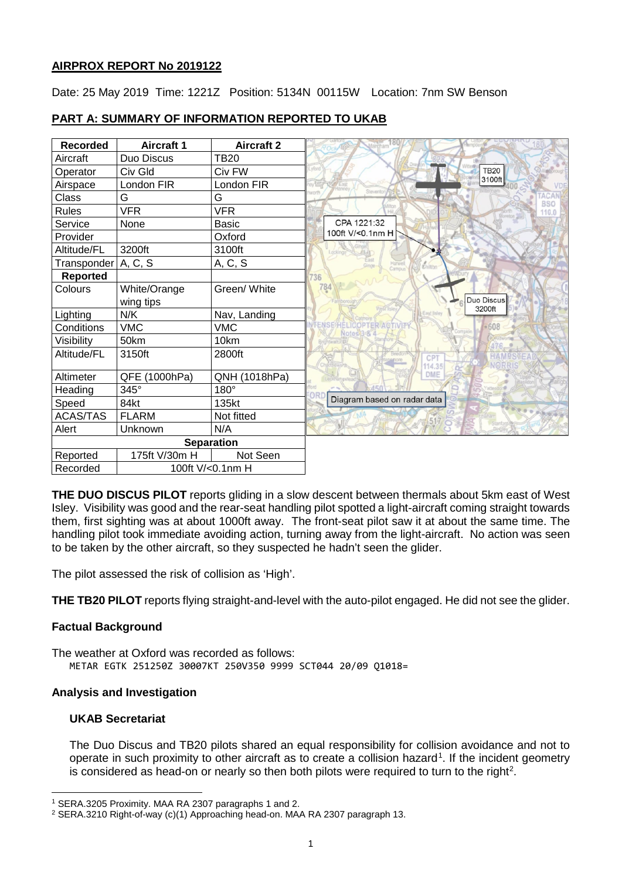## **AIRPROX REPORT No 2019122**

Date: 25 May 2019 Time: 1221Z Position: 5134N 00115W Location: 7nm SW Benson

## **PART A: SUMMARY OF INFORMATION REPORTED TO UKAB**

| <b>Recorded</b> | <b>Aircraft 1</b> | <b>Aircraft 2</b> |                  |                             |                      |                  |                           |
|-----------------|-------------------|-------------------|------------------|-----------------------------|----------------------|------------------|---------------------------|
| Aircraft        | Duo Discus        | <b>TB20</b>       |                  |                             |                      |                  |                           |
| Operator        | Civ Gld           | Civ FW            |                  |                             | <b>TB20</b>          |                  |                           |
| Airspace        | London FIR        | London FIR        |                  |                             | 3100ft               |                  |                           |
| Class           | G                 | G                 |                  |                             |                      |                  | <b>ACAN</b><br><b>BSO</b> |
| <b>Rules</b>    | <b>VFR</b>        | <b>VFR</b>        |                  |                             |                      |                  | 110.0                     |
| Service         | None              | <b>Basic</b>      | CPA 1221:32      |                             |                      |                  |                           |
| Provider        |                   | Oxford            | 100ft V/<0.1nm H |                             |                      |                  |                           |
| Altitude/FL     | 3200ft            | 3100ft            |                  |                             |                      |                  |                           |
| Transponder     | A, C, S           | A, C, S           |                  | Harwell<br>Chilton          |                      |                  |                           |
| Reported        |                   |                   | '36              |                             |                      |                  |                           |
| Colours         | White/Orange      | Green/ White      | 784              |                             |                      |                  |                           |
|                 | wing tips         |                   |                  |                             | Duo Discus<br>3200ft |                  |                           |
| Lighting        | N/K               | Nav, Landing      |                  |                             |                      |                  |                           |
| Conditions      | <b>VMC</b>        | <b>VMC</b>        |                  |                             | $-608$               |                  |                           |
| Visibility      | 50km              | 10km              |                  |                             |                      |                  |                           |
| Altitude/FL     | 3150ft            | 2800ft            |                  | <b>CPT</b>                  |                      | <b>HAMPSTEAT</b> |                           |
|                 |                   |                   |                  | 114.35<br>DME               |                      | NORRIS           |                           |
| Altimeter       | QFE (1000hPa)     | QNH (1018hPa)     |                  |                             |                      |                  |                           |
| Heading         | 345°              | $180^\circ$       |                  | Diagram based on radar data |                      |                  |                           |
| Speed           | 84kt              | 135kt             |                  |                             |                      |                  |                           |
| <b>ACAS/TAS</b> | <b>FLARM</b>      | Not fitted        |                  |                             |                      |                  |                           |
| Alert           | Unknown           | N/A               |                  |                             |                      |                  |                           |
|                 |                   | <b>Separation</b> |                  |                             |                      |                  |                           |
| Reported        | 175ft V/30m H     | Not Seen          |                  |                             |                      |                  |                           |
| Recorded        | 100ft V/<0.1nm H  |                   |                  |                             |                      |                  |                           |

**THE DUO DISCUS PILOT** reports gliding in a slow descent between thermals about 5km east of West Isley. Visibility was good and the rear-seat handling pilot spotted a light-aircraft coming straight towards them, first sighting was at about 1000ft away. The front-seat pilot saw it at about the same time. The handling pilot took immediate avoiding action, turning away from the light-aircraft. No action was seen to be taken by the other aircraft, so they suspected he hadn't seen the glider.

The pilot assessed the risk of collision as 'High'.

**THE TB20 PILOT** reports flying straight-and-level with the auto-pilot engaged. He did not see the glider.

#### **Factual Background**

The weather at Oxford was recorded as follows: METAR EGTK 251250Z 30007KT 250V350 9999 SCT044 20/09 Q1018=

#### **Analysis and Investigation**

#### **UKAB Secretariat**

 $\overline{\phantom{a}}$ 

The Duo Discus and TB20 pilots shared an equal responsibility for collision avoidance and not to operate in such proximity to other aircraft as to create a collision hazard<sup>[1](#page-0-0)</sup>. If the incident geometry is considered as head-on or nearly so then both pilots were required to turn to the right<sup>[2](#page-0-1)</sup>.

<span id="page-0-0"></span><sup>1</sup> SERA.3205 Proximity. MAA RA 2307 paragraphs 1 and 2.

<span id="page-0-1"></span><sup>2</sup> SERA.3210 Right-of-way (c)(1) Approaching head-on. MAA RA 2307 paragraph 13.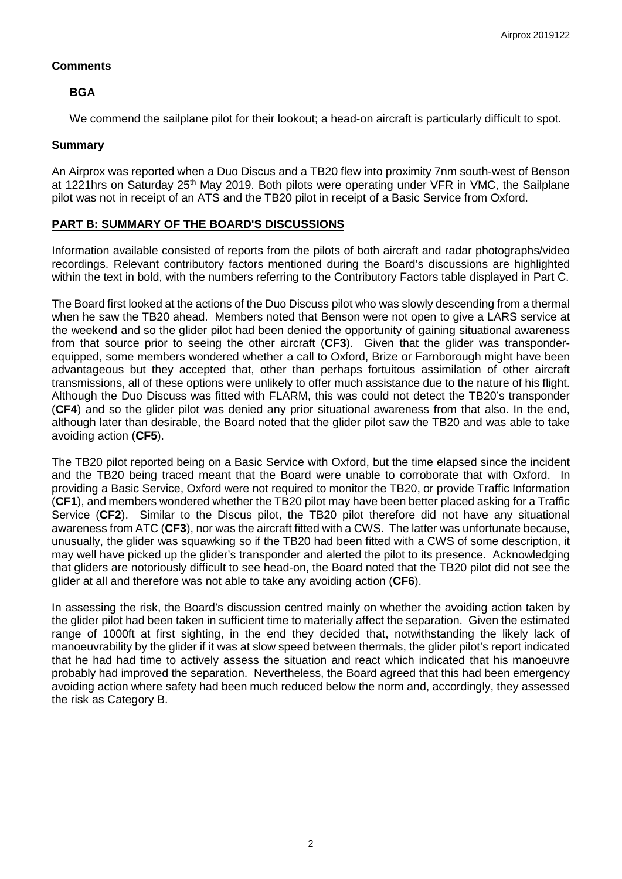## **Comments**

# **BGA**

We commend the sailplane pilot for their lookout; a head-on aircraft is particularly difficult to spot.

#### **Summary**

An Airprox was reported when a Duo Discus and a TB20 flew into proximity 7nm south-west of Benson at 1221hrs on Saturday 25<sup>th</sup> May 2019. Both pilots were operating under VFR in VMC, the Sailplane pilot was not in receipt of an ATS and the TB20 pilot in receipt of a Basic Service from Oxford.

# **PART B: SUMMARY OF THE BOARD'S DISCUSSIONS**

Information available consisted of reports from the pilots of both aircraft and radar photographs/video recordings. Relevant contributory factors mentioned during the Board's discussions are highlighted within the text in bold, with the numbers referring to the Contributory Factors table displayed in Part C.

The Board first looked at the actions of the Duo Discuss pilot who was slowly descending from a thermal when he saw the TB20 ahead. Members noted that Benson were not open to give a LARS service at the weekend and so the glider pilot had been denied the opportunity of gaining situational awareness from that source prior to seeing the other aircraft (**CF3**). Given that the glider was transponderequipped, some members wondered whether a call to Oxford, Brize or Farnborough might have been advantageous but they accepted that, other than perhaps fortuitous assimilation of other aircraft transmissions, all of these options were unlikely to offer much assistance due to the nature of his flight. Although the Duo Discuss was fitted with FLARM, this was could not detect the TB20's transponder (**CF4**) and so the glider pilot was denied any prior situational awareness from that also. In the end, although later than desirable, the Board noted that the glider pilot saw the TB20 and was able to take avoiding action (**CF5**).

The TB20 pilot reported being on a Basic Service with Oxford, but the time elapsed since the incident and the TB20 being traced meant that the Board were unable to corroborate that with Oxford. In providing a Basic Service, Oxford were not required to monitor the TB20, or provide Traffic Information (**CF1**), and members wondered whether the TB20 pilot may have been better placed asking for a Traffic Service (**CF2**). Similar to the Discus pilot, the TB20 pilot therefore did not have any situational awareness from ATC (**CF3**), nor was the aircraft fitted with a CWS. The latter was unfortunate because, unusually, the glider was squawking so if the TB20 had been fitted with a CWS of some description, it may well have picked up the glider's transponder and alerted the pilot to its presence. Acknowledging that gliders are notoriously difficult to see head-on, the Board noted that the TB20 pilot did not see the glider at all and therefore was not able to take any avoiding action (**CF6**).

In assessing the risk, the Board's discussion centred mainly on whether the avoiding action taken by the glider pilot had been taken in sufficient time to materially affect the separation. Given the estimated range of 1000ft at first sighting, in the end they decided that, notwithstanding the likely lack of manoeuvrability by the glider if it was at slow speed between thermals, the glider pilot's report indicated that he had had time to actively assess the situation and react which indicated that his manoeuvre probably had improved the separation. Nevertheless, the Board agreed that this had been emergency avoiding action where safety had been much reduced below the norm and, accordingly, they assessed the risk as Category B.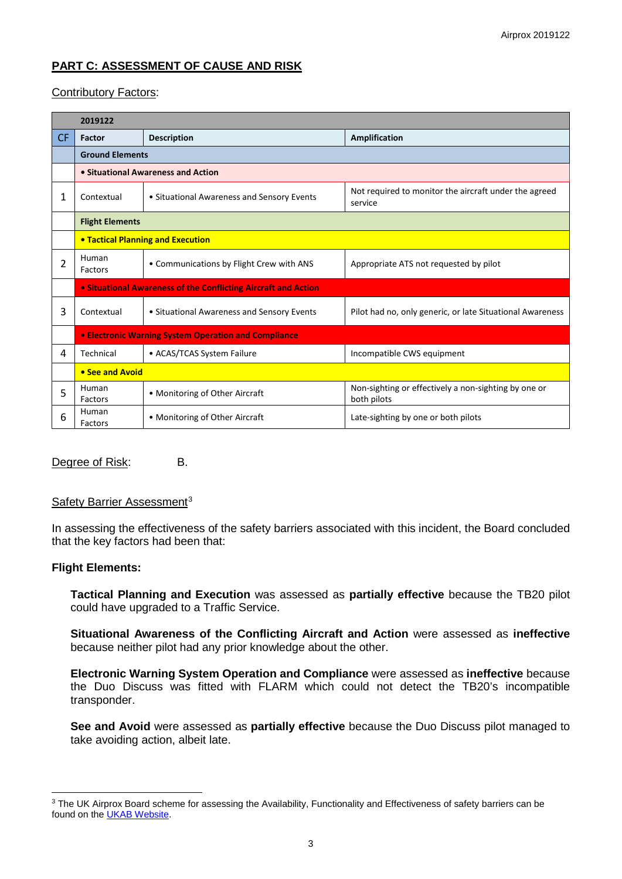# **PART C: ASSESSMENT OF CAUSE AND RISK**

# Contributory Factors:

|    | 2019122                                                        |                                            |                                                                     |  |  |  |  |  |  |
|----|----------------------------------------------------------------|--------------------------------------------|---------------------------------------------------------------------|--|--|--|--|--|--|
| CF | Factor                                                         | <b>Description</b>                         | <b>Amplification</b>                                                |  |  |  |  |  |  |
|    | <b>Ground Elements</b>                                         |                                            |                                                                     |  |  |  |  |  |  |
|    | • Situational Awareness and Action                             |                                            |                                                                     |  |  |  |  |  |  |
| 1  | Contextual                                                     | • Situational Awareness and Sensory Events | Not required to monitor the aircraft under the agreed<br>service    |  |  |  |  |  |  |
|    | <b>Flight Elements</b>                                         |                                            |                                                                     |  |  |  |  |  |  |
|    | <b>• Tactical Planning and Execution</b>                       |                                            |                                                                     |  |  |  |  |  |  |
| 2  | Human<br>Factors                                               | • Communications by Flight Crew with ANS   | Appropriate ATS not requested by pilot                              |  |  |  |  |  |  |
|    | • Situational Awareness of the Conflicting Aircraft and Action |                                            |                                                                     |  |  |  |  |  |  |
| 3  | Contextual                                                     | • Situational Awareness and Sensory Events | Pilot had no, only generic, or late Situational Awareness           |  |  |  |  |  |  |
|    | <b>• Electronic Warning System Operation and Compliance</b>    |                                            |                                                                     |  |  |  |  |  |  |
| 4  | Technical                                                      | • ACAS/TCAS System Failure                 | Incompatible CWS equipment                                          |  |  |  |  |  |  |
|    | • See and Avoid                                                |                                            |                                                                     |  |  |  |  |  |  |
| 5  | Human<br>Factors                                               | • Monitoring of Other Aircraft             | Non-sighting or effectively a non-sighting by one or<br>both pilots |  |  |  |  |  |  |
| 6  | Human<br>Factors                                               | • Monitoring of Other Aircraft             | Late-sighting by one or both pilots                                 |  |  |  |  |  |  |

Degree of Risk: B.

#### Safety Barrier Assessment<sup>[3](#page-2-0)</sup>

In assessing the effectiveness of the safety barriers associated with this incident, the Board concluded that the key factors had been that:

#### **Flight Elements:**

 $\overline{\phantom{a}}$ 

**Tactical Planning and Execution** was assessed as **partially effective** because the TB20 pilot could have upgraded to a Traffic Service.

**Situational Awareness of the Conflicting Aircraft and Action** were assessed as **ineffective** because neither pilot had any prior knowledge about the other.

**Electronic Warning System Operation and Compliance** were assessed as **ineffective** because the Duo Discuss was fitted with FLARM which could not detect the TB20's incompatible transponder.

**See and Avoid** were assessed as **partially effective** because the Duo Discuss pilot managed to take avoiding action, albeit late.

<span id="page-2-0"></span><sup>&</sup>lt;sup>3</sup> The UK Airprox Board scheme for assessing the Availability, Functionality and Effectiveness of safety barriers can be found on the [UKAB Website.](http://www.airproxboard.org.uk/Learn-more/Airprox-Barrier-Assessment/)